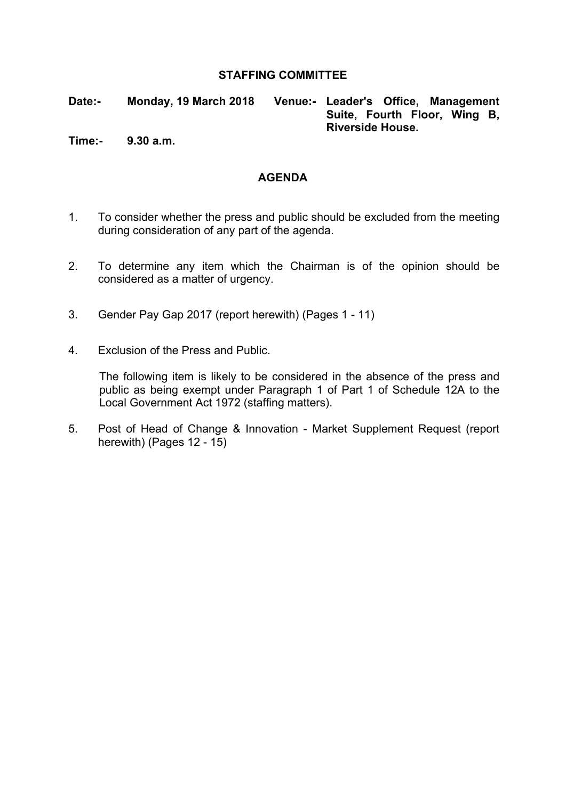#### **STAFFING COMMITTEE**

**Date:- Monday, 19 March 2018 Venue:- Leader's Office, Management Suite, Fourth Floor, Wing B, Riverside House.**

**Time:- 9.30 a.m.**

#### **AGENDA**

- 1. To consider whether the press and public should be excluded from the meeting during consideration of any part of the agenda.
- 2. To determine any item which the Chairman is of the opinion should be considered as a matter of urgency.
- 3. Gender Pay Gap 2017 (report herewith) (Pages 1 11)
- 4. Exclusion of the Press and Public.

The following item is likely to be considered in the absence of the press and public as being exempt under Paragraph 1 of Part 1 of Schedule 12A to the Local Government Act 1972 (staffing matters).

5. Post of Head of Change & Innovation - Market Supplement Request (report herewith) (Pages 12 - 15)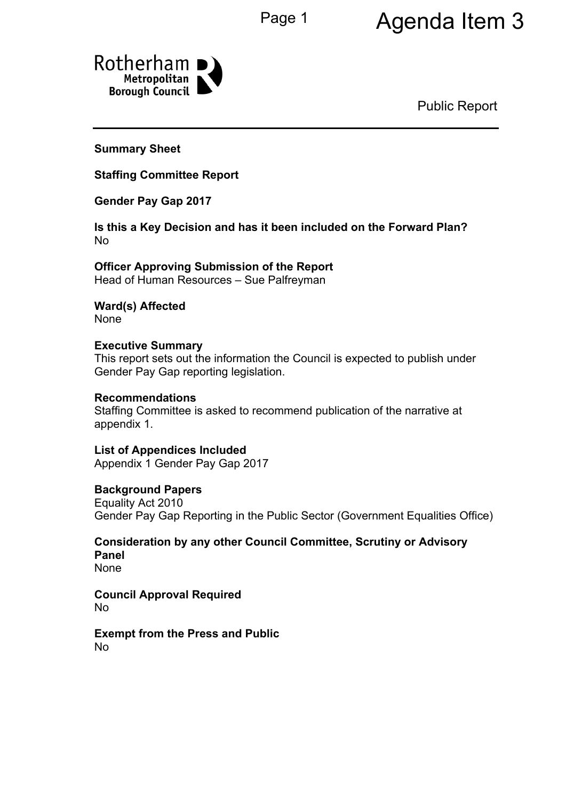## Page 1 Agenda Item 3



Public Report

**Summary Sheet**

**Staffing Committee Report**

**Gender Pay Gap 2017**

**Is this a Key Decision and has it been included on the Forward Plan?** No

**Officer Approving Submission of the Report** Head of Human Resources – Sue Palfreyman

**Ward(s) Affected** None

**Executive Summary** This report sets out the information the Council is expected to publish under Gender Pay Gap reporting legislation.

#### **Recommendations**

Staffing Committee is asked to recommend publication of the narrative at appendix 1.

**List of Appendices Included** Appendix 1 Gender Pay Gap 2017

#### **Background Papers**

Equality Act 2010 Gender Pay Gap Reporting in the Public Sector (Government Equalities Office)

**Consideration by any other Council Committee, Scrutiny or Advisory Panel** None

**Council Approval Required** No

**Exempt from the Press and Public** No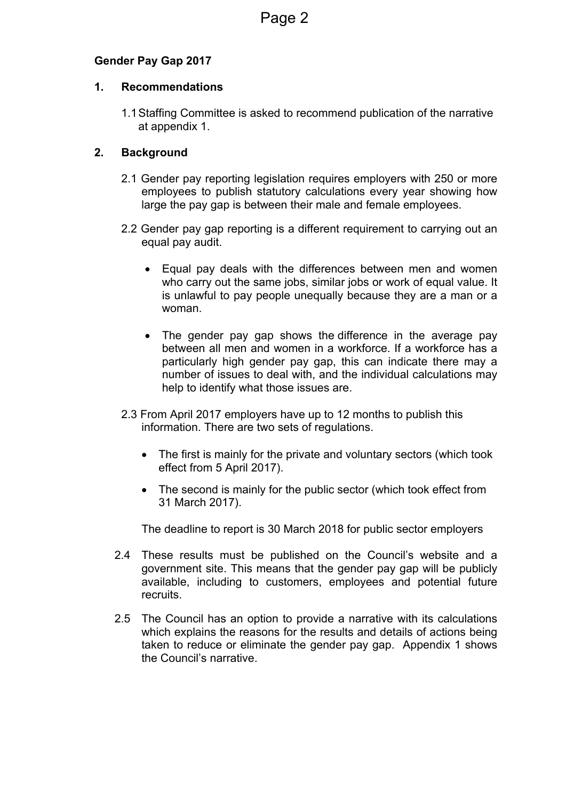#### **Gender Pay Gap 2017**

#### **1. Recommendations**

1.1Staffing Committee is asked to recommend publication of the narrative at appendix 1.

#### **2. Background**

- 2.1 Gender pay reporting legislation requires employers with 250 or more employees to publish statutory calculations every year showing how large the pay gap is between their male and female employees.
- 2.2 Gender pay gap reporting is a different requirement to carrying out an equal pay audit.
	- Equal pay deals with the differences between men and women who carry out the same jobs, similar jobs or work of equal value. It is unlawful to pay people unequally because they are a man or a woman.
	- The gender pay gap shows the difference in the average pay between all men and women in a workforce. If a workforce has a particularly high gender pay gap, this can indicate there may a number of issues to deal with, and the individual calculations may help to identify what those issues are.
- 2.3 From April 2017 employers have up to 12 months to publish this information. There are two sets of regulations.
	- The first is mainly for the private and voluntary sectors (which took effect from 5 April 2017).
	- The second is mainly for the public sector (which took effect from 31 March 2017).

The deadline to report is 30 March 2018 for public sector employers

- 2.4 These results must be published on the Council's website and a government site. This means that the gender pay gap will be publicly available, including to customers, employees and potential future recruits.
- 2.5 The Council has an option to provide a narrative with its calculations which explains the reasons for the results and details of actions being taken to reduce or eliminate the gender pay gap. Appendix 1 shows the Council's narrative.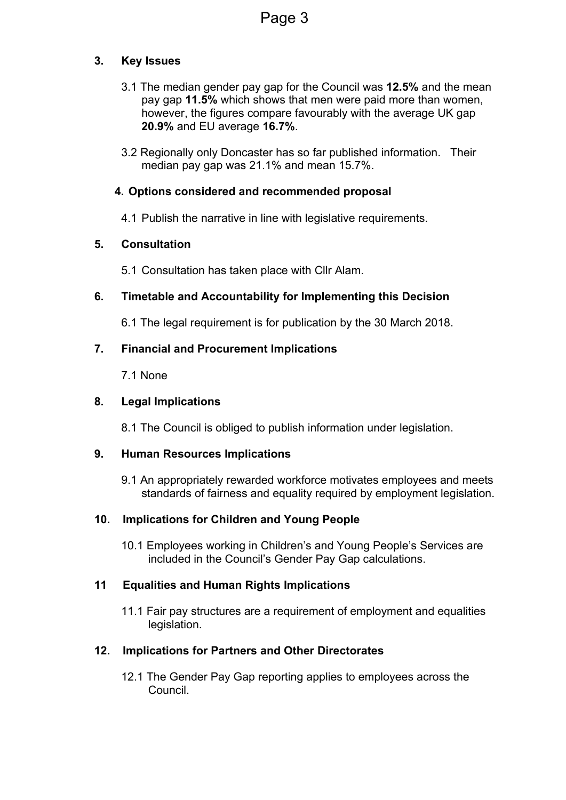#### **3. Key Issues**

- 3.1 The median gender pay gap for the Council was **12.5%** and the mean pay gap **11.5%** which shows that men were paid more than women, however, the figures compare favourably with the average UK gap **20.9%** and EU average **16.7%**.
- 3.2 Regionally only Doncaster has so far published information. Their median pay gap was 21.1% and mean 15.7%.

#### **4. Options considered and recommended proposal**

4.1 Publish the narrative in line with legislative requirements.

#### **5. Consultation**

5.1 Consultation has taken place with Cllr Alam.

#### **6. Timetable and Accountability for Implementing this Decision**

6.1 The legal requirement is for publication by the 30 March 2018.

#### **7. Financial and Procurement Implications**

7.1 None

#### **8. Legal Implications**

8.1 The Council is obliged to publish information under legislation.

#### **9. Human Resources Implications**

9.1 An appropriately rewarded workforce motivates employees and meets standards of fairness and equality required by employment legislation.

#### **10. Implications for Children and Young People**

10.1 Employees working in Children's and Young People's Services are included in the Council's Gender Pay Gap calculations.

#### **11 Equalities and Human Rights Implications**

11.1 Fair pay structures are a requirement of employment and equalities legislation.

#### **12. Implications for Partners and Other Directorates**

12.1 The Gender Pay Gap reporting applies to employees across the Council.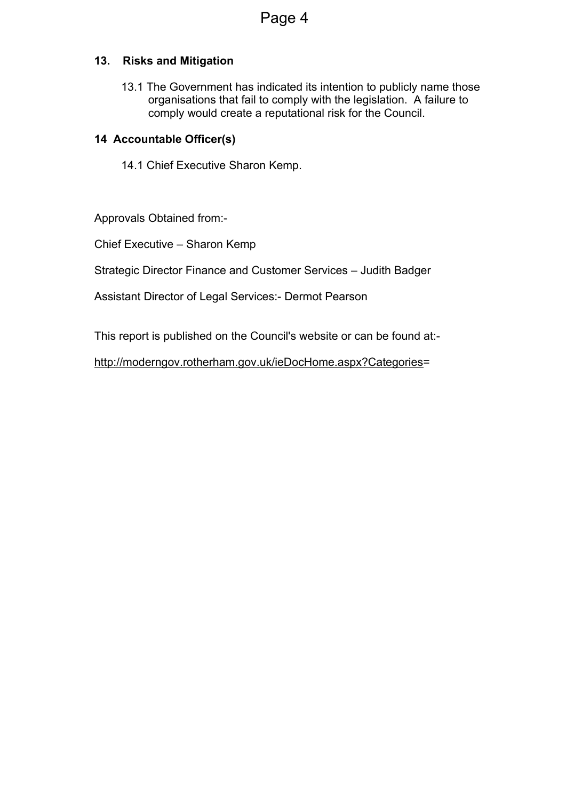#### **13. Risks and Mitigation**

13.1 The Government has indicated its intention to publicly name those organisations that fail to comply with the legislation. A failure to comply would create a reputational risk for the Council.

#### **14 Accountable Officer(s)**

14.1 Chief Executive Sharon Kemp.

Approvals Obtained from:-

Chief Executive – Sharon Kemp

Strategic Director Finance and Customer Services – Judith Badger

Assistant Director of Legal Services:- Dermot Pearson

This report is published on the Council's website or can be found at:-

<http://moderngov.rotherham.gov.uk/ieDocHome.aspx?Categories>=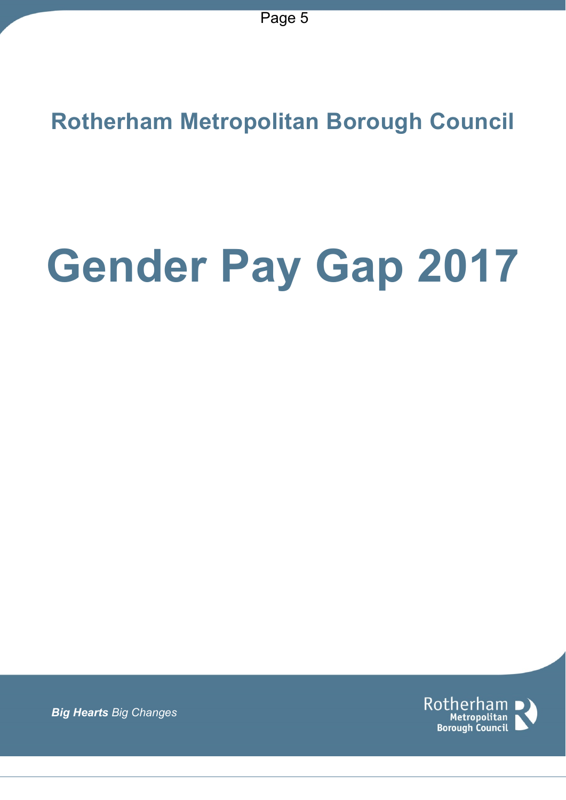**Rotherham Metropolitan Borough Council**

# **Gender Pay Gap 2017**

Rotherham Metropolitan **Borough Council** 

*Big Hearts Big Changes*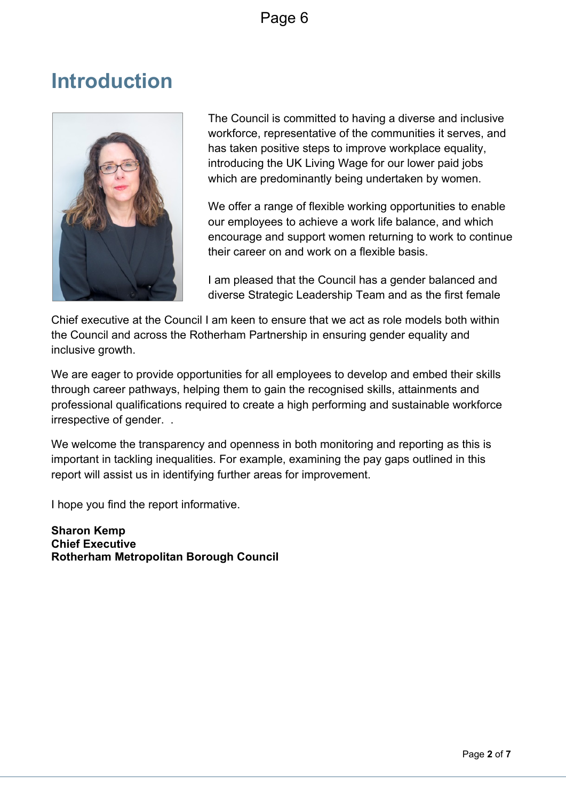## **Introduction**



The Council is committed to having a diverse and inclusive workforce, representative of the communities it serves, and has taken positive steps to improve workplace equality, introducing the UK Living Wage for our lower paid jobs which are predominantly being undertaken by women.

We offer a range of flexible working opportunities to enable our employees to achieve a work life balance, and which encourage and support women returning to work to continue their career on and work on a flexible basis.

I am pleased that the Council has a gender balanced and diverse Strategic Leadership Team and as the first female

Chief executive at the Council I am keen to ensure that we act as role models both within the Council and across the Rotherham Partnership in ensuring gender equality and inclusive growth.

We are eager to provide opportunities for all employees to develop and embed their skills through career pathways, helping them to gain the recognised skills, attainments and professional qualifications required to create a high performing and sustainable workforce irrespective of gender. .

We welcome the transparency and openness in both monitoring and reporting as this is important in tackling inequalities. For example, examining the pay gaps outlined in this report will assist us in identifying further areas for improvement.

I hope you find the report informative.

**Sharon Kemp Chief Executive Rotherham Metropolitan Borough Council**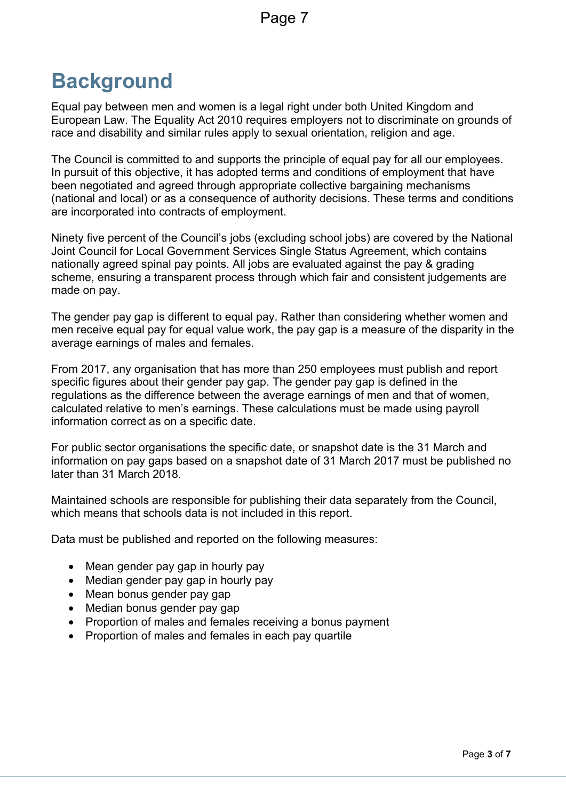## **Background**

Equal pay between men and women is a legal right under both United Kingdom and European Law. The Equality Act 2010 requires employers not to discriminate on grounds of race and disability and similar rules apply to sexual orientation, religion and age.

The Council is committed to and supports the principle of equal pay for all our employees. In pursuit of this objective, it has adopted terms and conditions of employment that have been negotiated and agreed through appropriate collective bargaining mechanisms (national and local) or as a consequence of authority decisions. These terms and conditions are incorporated into contracts of employment.

Ninety five percent of the Council's jobs (excluding school jobs) are covered by the National Joint Council for Local Government Services Single Status Agreement, which contains nationally agreed spinal pay points. All jobs are evaluated against the pay & grading scheme, ensuring a transparent process through which fair and consistent judgements are made on pay.

The gender pay gap is different to equal pay. Rather than considering whether women and men receive equal pay for equal value work, the pay gap is a measure of the disparity in the average earnings of males and females.

From 2017, any organisation that has more than 250 employees must publish and report specific figures about their gender pay gap. The gender pay gap is defined in the regulations as the difference between the average earnings of men and that of women, calculated relative to men's earnings. These calculations must be made using payroll information correct as on a specific date.

For public sector organisations the specific date, or snapshot date is the 31 March and information on pay gaps based on a snapshot date of 31 March 2017 must be published no later than 31 March 2018.

Maintained schools are responsible for publishing their data separately from the Council, which means that schools data is not included in this report.

Data must be published and reported on the following measures:

- Mean gender pay gap in hourly pay
- Median gender pay gap in hourly pay
- Mean bonus gender pay gap
- Median bonus gender pay gap
- Proportion of males and females receiving a bonus payment
- Proportion of males and females in each pay quartile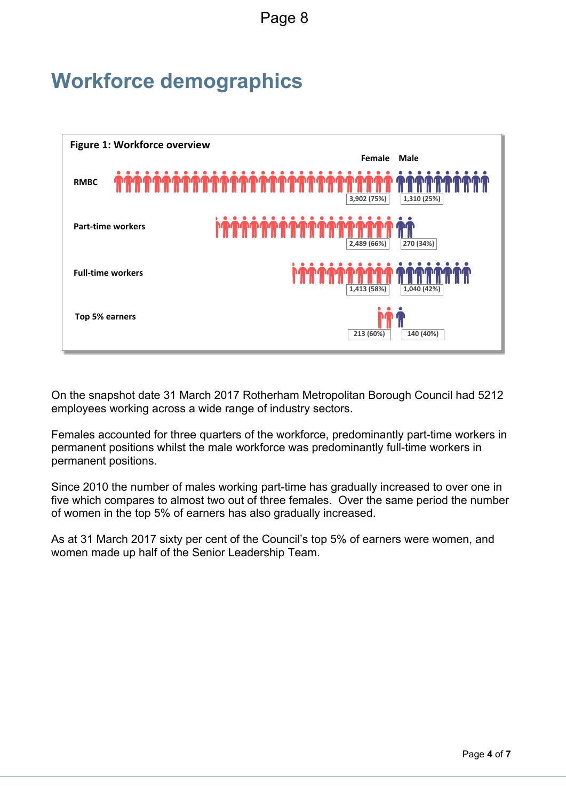Page 8

## **Workforce demographics**



On the snapshot date 31 March 2017 Rotherham Metropolitan Borough Council had 5212 employees working across a wide range of industry sectors.

Females accounted for three quarters of the workforce, predominantly part-time workers in permanent positions whilst the male workforce was predominantly full-time workers in permanent positions.

Since 2010 the number of males working part-time has gradually increased to over one in five which compares to almost two out of three females. Over the same period the number of women in the top 5% of earners has also gradually increased.

As at 31 March 2017 sixty per cent of the Council's top 5% of earners were women, and women made up half of the Senior Leadership Team.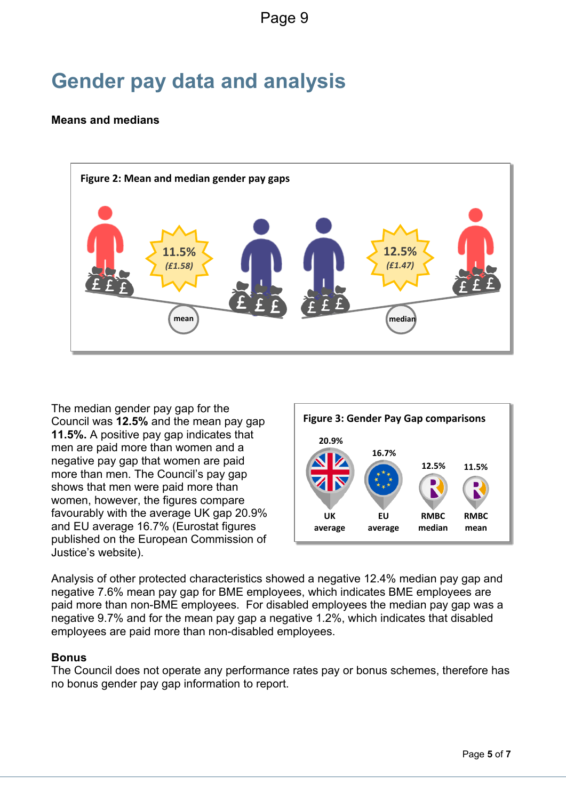## **Gender pay data and analysis**

#### **Means and medians**



The median gender pay gap for the Council was **12.5%** and the mean pay gap **11.5%.** A positive pay gap indicates that men are paid more than women and a negative pay gap that women are paid more than men. The Council's pay gap shows that men were paid more than women, however, the figures compare favourably with the average UK gap 20.9% and EU average 16.7% (Eurostat figures published on the European Commission of Justice's website).



Analysis of other protected characteristics showed a negative 12.4% median pay gap and negative 7.6% mean pay gap for BME employees, which indicates BME employees are paid more than non-BME employees. For disabled employees the median pay gap was a negative 9.7% and for the mean pay gap a negative 1.2%, which indicates that disabled employees are paid more than non-disabled employees.

#### **Bonus**

The Council does not operate any performance rates pay or bonus schemes, therefore has no bonus gender pay gap information to report.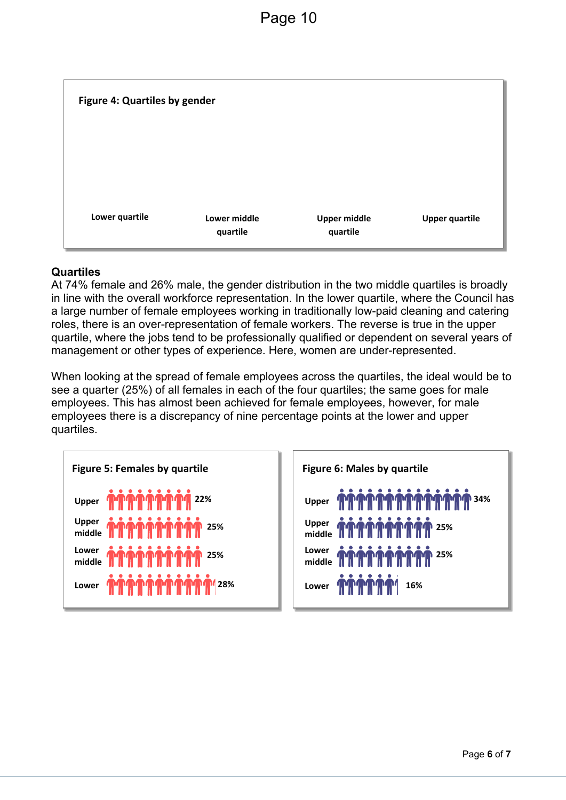

#### **Quartiles**

At 74% female and 26% male, the gender distribution in the two middle quartiles is broadly in line with the overall workforce representation. In the lower quartile, where the Council has a large number of female employees working in traditionally low-paid cleaning and catering roles, there is an over-representation of female workers. The reverse is true in the upper quartile, where the jobs tend to be professionally qualified or dependent on several years of management or other types of experience. Here, women are under-represented.

When looking at the spread of female employees across the quartiles, the ideal would be to see a quarter (25%) of all females in each of the four quartiles; the same goes for male employees. This has almost been achieved for female employees, however, for male employees there is a discrepancy of nine percentage points at the lower and upper quartiles.

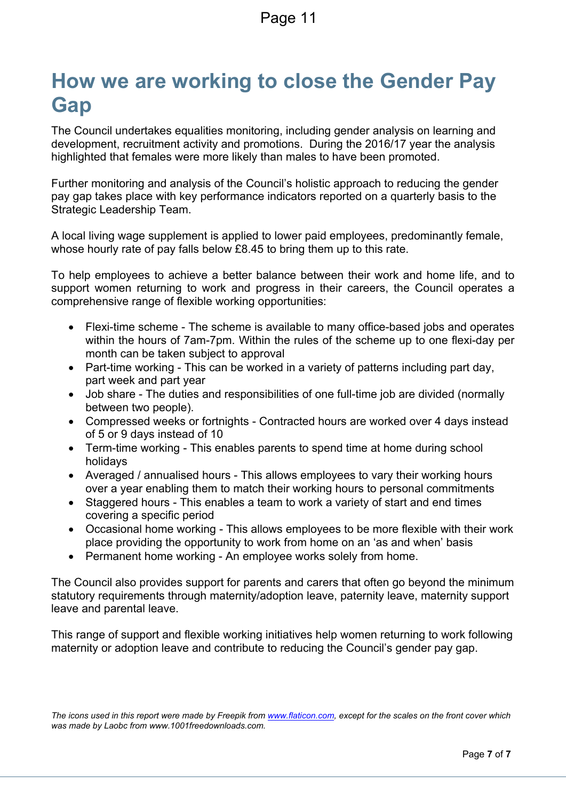### **How we are working to close the Gender Pay Gap**

The Council undertakes equalities monitoring, including gender analysis on learning and development, recruitment activity and promotions. During the 2016/17 year the analysis highlighted that females were more likely than males to have been promoted.

Further monitoring and analysis of the Council's holistic approach to reducing the gender pay gap takes place with key performance indicators reported on a quarterly basis to the Strategic Leadership Team.

A local living wage supplement is applied to lower paid employees, predominantly female, whose hourly rate of pay falls below £8.45 to bring them up to this rate.

To help employees to achieve a better balance between their work and home life, and to support women returning to work and progress in their careers, the Council operates a comprehensive range of flexible working opportunities:

- Flexi-time scheme The scheme is available to many office-based jobs and operates within the hours of 7am-7pm. Within the rules of the scheme up to one flexi-day per month can be taken subject to approval
- Part-time working This can be worked in a variety of patterns including part day, part week and part year
- Job share The duties and responsibilities of one full-time job are divided (normally between two people).
- Compressed weeks or fortnights Contracted hours are worked over 4 days instead of 5 or 9 days instead of 10
- Term-time working This enables parents to spend time at home during school holidays
- Averaged / annualised hours This allows employees to vary their working hours over a year enabling them to match their working hours to personal commitments
- Staggered hours This enables a team to work a variety of start and end times covering a specific period
- Occasional home working This allows employees to be more flexible with their work place providing the opportunity to work from home on an 'as and when' basis
- Permanent home working An employee works solely from home.

The Council also provides support for parents and carers that often go beyond the minimum statutory requirements through maternity/adoption leave, paternity leave, maternity support leave and parental leave.

This range of support and flexible working initiatives help women returning to work following maternity or adoption leave and contribute to reducing the Council's gender pay gap.

The icons used in this report were made by Freepik from [www.flaticon.com,](http://www.flaticon.com/) except for the scales on the front cover which *was made by Laobc from www.1001freedownloads.com.*